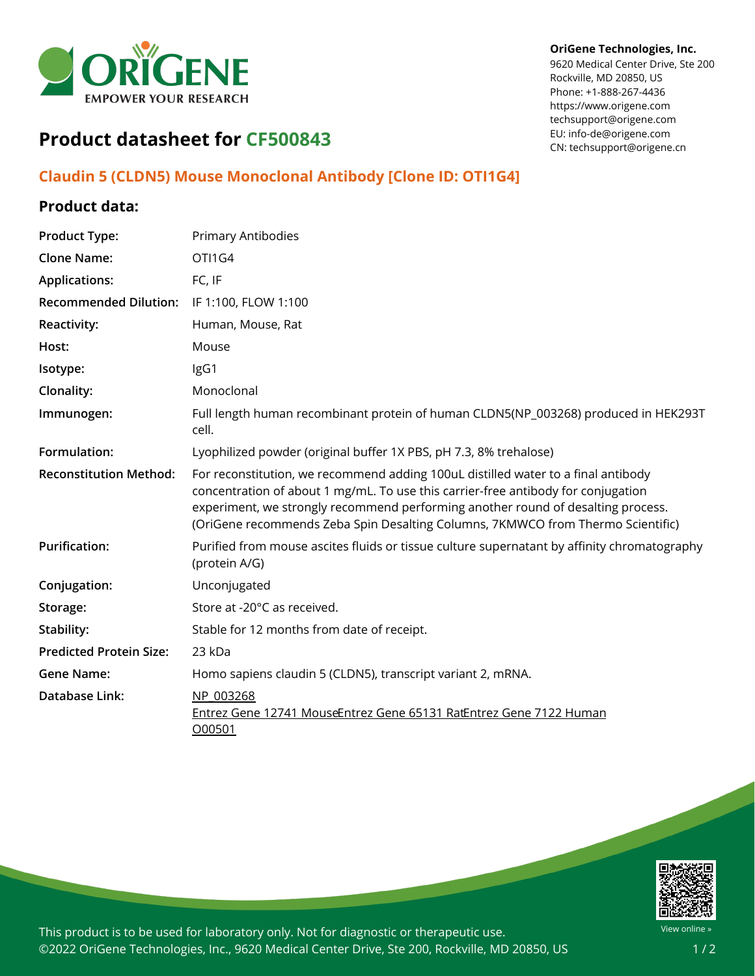

#### **OriGene Technologies, Inc.**

9620 Medical Center Drive, Ste 200 Rockville, MD 20850, US Phone: +1-888-267-4436 https://www.origene.com techsupport@origene.com EU: info-de@origene.com CN: techsupport@origene.cn

# **Product datasheet for CF500843**

### **Claudin 5 (CLDN5) Mouse Monoclonal Antibody [Clone ID: OTI1G4]**

### **Product data:**

| <b>Product Type:</b>           | Primary Antibodies                                                                                                                                                                                                                                                                                                                            |
|--------------------------------|-----------------------------------------------------------------------------------------------------------------------------------------------------------------------------------------------------------------------------------------------------------------------------------------------------------------------------------------------|
| <b>Clone Name:</b>             | OTI1G4                                                                                                                                                                                                                                                                                                                                        |
| <b>Applications:</b>           | FC, IF                                                                                                                                                                                                                                                                                                                                        |
| <b>Recommended Dilution:</b>   | IF 1:100, FLOW 1:100                                                                                                                                                                                                                                                                                                                          |
| <b>Reactivity:</b>             | Human, Mouse, Rat                                                                                                                                                                                                                                                                                                                             |
| Host:                          | Mouse                                                                                                                                                                                                                                                                                                                                         |
| Isotype:                       | IgG1                                                                                                                                                                                                                                                                                                                                          |
| Clonality:                     | Monoclonal                                                                                                                                                                                                                                                                                                                                    |
| Immunogen:                     | Full length human recombinant protein of human CLDN5(NP_003268) produced in HEK293T<br>cell.                                                                                                                                                                                                                                                  |
| Formulation:                   | Lyophilized powder (original buffer 1X PBS, pH 7.3, 8% trehalose)                                                                                                                                                                                                                                                                             |
| <b>Reconstitution Method:</b>  | For reconstitution, we recommend adding 100uL distilled water to a final antibody<br>concentration of about 1 mg/mL. To use this carrier-free antibody for conjugation<br>experiment, we strongly recommend performing another round of desalting process.<br>(OriGene recommends Zeba Spin Desalting Columns, 7KMWCO from Thermo Scientific) |
| <b>Purification:</b>           | Purified from mouse ascites fluids or tissue culture supernatant by affinity chromatography<br>(protein A/G)                                                                                                                                                                                                                                  |
| Conjugation:                   | Unconjugated                                                                                                                                                                                                                                                                                                                                  |
| Storage:                       | Store at -20°C as received.                                                                                                                                                                                                                                                                                                                   |
| Stability:                     | Stable for 12 months from date of receipt.                                                                                                                                                                                                                                                                                                    |
| <b>Predicted Protein Size:</b> | 23 kDa                                                                                                                                                                                                                                                                                                                                        |
| <b>Gene Name:</b>              | Homo sapiens claudin 5 (CLDN5), transcript variant 2, mRNA.                                                                                                                                                                                                                                                                                   |
| <b>Database Link:</b>          | NP 003268<br>Entrez Gene 12741 MouseEntrez Gene 65131 RatEntrez Gene 7122 Human<br>O00501                                                                                                                                                                                                                                                     |



This product is to be used for laboratory only. Not for diagnostic or therapeutic use. ©2022 OriGene Technologies, Inc., 9620 Medical Center Drive, Ste 200, Rockville, MD 20850, US